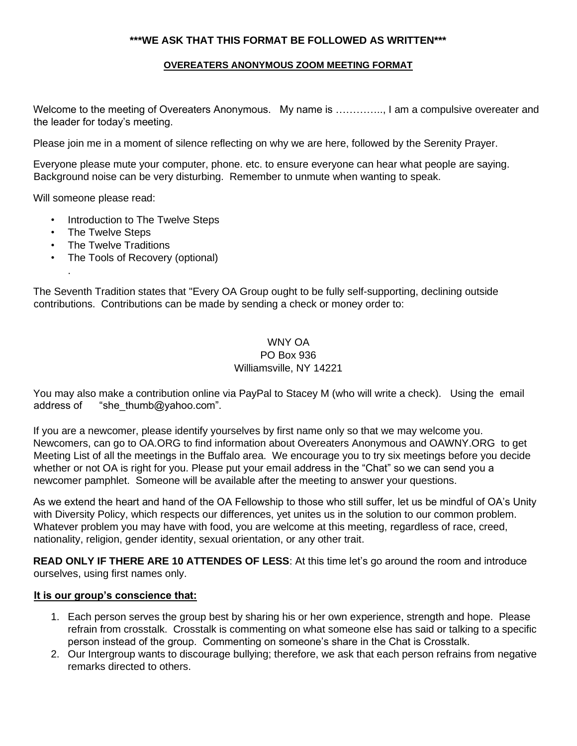## **\*\*\*WE ASK THAT THIS FORMAT BE FOLLOWED AS WRITTEN\*\*\***

## **OVEREATERS ANONYMOUS ZOOM MEETING FORMAT**

Welcome to the meeting of Overeaters Anonymous. My name is ..............., I am a compulsive overeater and the leader for today's meeting.

Please join me in a moment of silence reflecting on why we are here, followed by the Serenity Prayer.

Everyone please mute your computer, phone. etc. to ensure everyone can hear what people are saying. Background noise can be very disturbing. Remember to unmute when wanting to speak.

Will someone please read:

- **Introduction to The Twelve Steps**
- The Twelve Steps

.

- The Twelve Traditions
- The Tools of Recovery (optional)

The Seventh Tradition states that "Every OA Group ought to be fully self-supporting, declining outside contributions. Contributions can be made by sending a check or money order to:

## WNY OA PO Box 936 Williamsville, NY 14221

You may also make a contribution online via PayPal to Stacey M (who will write a check). Using the email address of "she\_thumb@yahoo.com".

If you are a newcomer, please identify yourselves by first name only so that we may welcome you. Newcomers, can go to OA.ORG to find information about Overeaters Anonymous and OAWNY.ORG to get Meeting List of all the meetings in the Buffalo area. We encourage you to try six meetings before you decide whether or not OA is right for you. Please put your email address in the "Chat" so we can send you a newcomer pamphlet. Someone will be available after the meeting to answer your questions.

As we extend the heart and hand of the OA Fellowship to those who still suffer, let us be mindful of OA's Unity with Diversity Policy, which respects our differences, yet unites us in the solution to our common problem. Whatever problem you may have with food, you are welcome at this meeting, regardless of race, creed, nationality, religion, gender identity, sexual orientation, or any other trait.

**READ ONLY IF THERE ARE 10 ATTENDES OF LESS**: At this time let's go around the room and introduce ourselves, using first names only.

## **It is our group's conscience that:**

- 1. Each person serves the group best by sharing his or her own experience, strength and hope. Please refrain from crosstalk. Crosstalk is commenting on what someone else has said or talking to a specific person instead of the group. Commenting on someone's share in the Chat is Crosstalk.
- 2. Our Intergroup wants to discourage bullying; therefore, we ask that each person refrains from negative remarks directed to others.